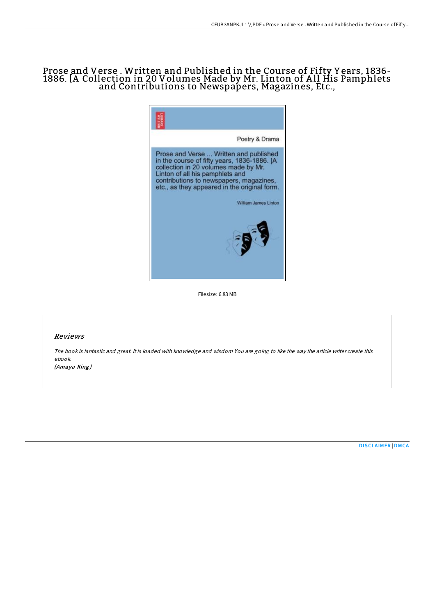# Prose and Verse . Written and Published in the Course of Fifty Y ears, 1836- 1886. [A Collection in 20 Volumes Made by Mr. Linton of A ll His Pamphlets and Contributions to Newspapers, Magazines, Etc.,



Filesize: 6.83 MB

## Reviews

The book is fantastic and great. It is loaded with knowledge and wisdom You are going to like the way the article writer create this ebook.

(Amaya King)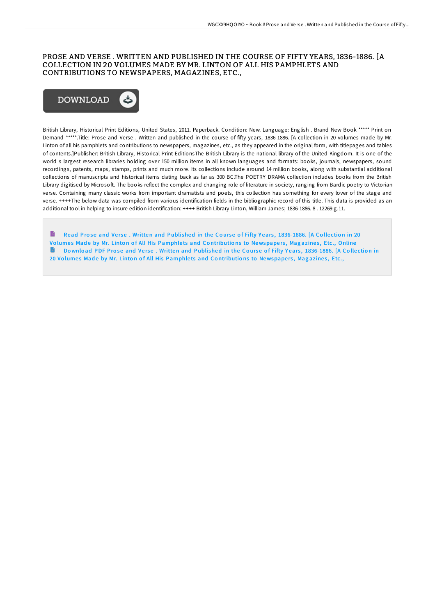# PROSE AND VERSE . WRITTEN AND PUBLISHED IN THE COURSE OF FIFTY YEARS, 1836-1886. [A COLLECTION IN 20 VOLUMES MADE BY MR. LINTON OF ALL HIS PAMPHLETS AND CONTRIBUTIONS TO NEWSPAPERS, MAGAZINES, ETC.,



British Library, Historical Print Editions, United States, 2011. Paperback. Condition: New. Language: English . Brand New Book \*\*\*\*\* Print on Demand \*\*\*\*\*.Title: Prose and Verse . Written and published in the course of fifty years, 1836-1886. [A collection in 20 volumes made by Mr. Linton of all his pamphlets and contributions to newspapers, magazines, etc., as they appeared in the original form, with titlepages and tables of contents.]Publisher: British Library, Historical Print EditionsThe British Library is the national library of the United Kingdom. It is one of the world s largest research libraries holding over 150 million items in all known languages and formats: books, journals, newspapers, sound recordings, patents, maps, stamps, prints and much more. Its collections include around 14 million books, along with substantial additional collections of manuscripts and historical items dating back as far as 300 BC.The POETRY DRAMA collection includes books from the British Library digitised by Microsoft. The books reflect the complex and changing role of literature in society, ranging from Bardic poetry to Victorian verse. Containing many classic works from important dramatists and poets, this collection has something for every lover of the stage and verse. ++++The below data was compiled from various identification fields in the bibliographic record of this title. This data is provided as an additional tool in helping to insure edition identification: ++++ British Library Linton, William James; 1836-1886. 8 . 12269.g.11.

B Read Prose and Verse . Written and Published in the Course of Fifty Years, 1836-1886. [A Collection in 20 Volumes Made by Mr. Linton of All His Pamphlets and Contributions to [Newspape](http://almighty24.tech/prose-and-verse-written-and-published-in-the-cou.html)rs, Magazines, Etc., Online Download PDF Prose and Verse . Written and Published in the Course of Fifty Years, [1836-1886.](http://almighty24.tech/prose-and-verse-written-and-published-in-the-cou.html) [A Collection in 20 Volumes Made by Mr. Linton of All His Pamphlets and Contributions to Newspapers, Magazines, Etc.,